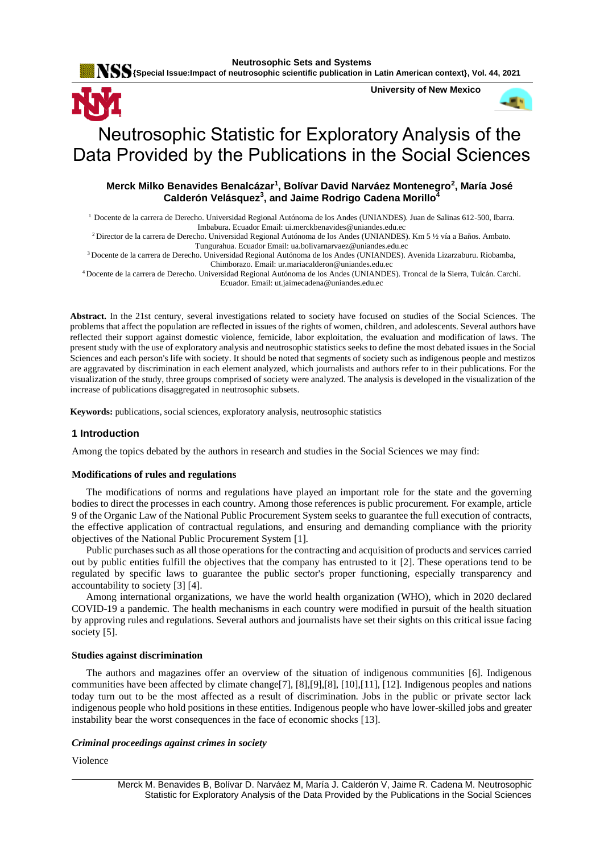**Neutrosophic Sets and Systems**

**KSS** {Special Issue:Impact of neutrosophic scientific publication in Latin American context}, Vol. 44, 2021

**University of New Mexico**



# Neutrosophic Statistic for Exploratory Analysis of the Data Provided by the Publications in the Social Sciences

# **Merck Milko Benavides Benalcázar<sup>1</sup> , Bolívar David Narváez Montenegro<sup>2</sup> , María José Calderón Velásquez<sup>3</sup> , and Jaime Rodrigo Cadena Morillo<sup>4</sup>**

<sup>1</sup> Docente de la carrera de Derecho. Universidad Regional Autónoma de los Andes (UNIANDES). Juan de Salinas 612-500, Ibarra. Imbabura. Ecuador Email[: ui.merckbenavides@uniandes.edu.ec](mailto:ui.merckbenavides@uniandes.edu.ec)

<sup>2</sup>Director de la carrera de Derecho. Universidad Regional Autónoma de los Andes (UNIANDES). Km 5 ½ vía a Baños. Ambato. Tungurahua. Ecuador Email[: ua.bolivarnarvaez@uniandes.edu.ec](mailto:ua.bolivarnarvaez@uniandes.edu.ec)

<sup>3</sup>Docente de la carrera de Derecho. Universidad Regional Autónoma de los Andes (UNIANDES). Avenida Lizarzaburu. Riobamba, Chimborazo. Email[: ur.mariacalderon@uniandes.edu.ec](mailto:ur.mariacalderon@uniandes.edu.ec)

<sup>4</sup>Docente de la carrera de Derecho. Universidad Regional Autónoma de los Andes (UNIANDES). Troncal de la Sierra, Tulcán. Carchi. Ecuador. Email[: ut.jaimecadena@uniandes.edu.ec](mailto:ut.jaimecadena@uniandes.edu.ec)

**Abstract.** In the 21st century, several investigations related to society have focused on studies of the Social Sciences. The problems that affect the population are reflected in issues of the rights of women, children, and adolescents. Several authors have reflected their support against domestic violence, femicide, labor exploitation, the evaluation and modification of laws. The present study with the use of exploratory analysis and neutrosophic statistics seeks to define the most debated issues in the Social Sciences and each person's life with society. It should be noted that segments of society such as indigenous people and mestizos are aggravated by discrimination in each element analyzed, which journalists and authors refer to in their publications. For the visualization of the study, three groups comprised of society were analyzed. The analysis is developed in the visualization of the increase of publications disaggregated in neutrosophic subsets.

**Keywords:** publications, social sciences, exploratory analysis, neutrosophic statistics

## **1 Introduction**

Among the topics debated by the authors in research and studies in the Social Sciences we may find:

#### **Modifications of rules and regulations**

The modifications of norms and regulations have played an important role for the state and the governing bodies to direct the processes in each country. Among those references is public procurement. For example, article 9 of the Organic Law of the National Public Procurement System seeks to guarantee the full execution of contracts, the effective application of contractual regulations, and ensuring and demanding compliance with the priority objectives of the National Public Procurement System [\[1\]](#page-7-0).

Public purchases such as all those operations for the contracting and acquisition of products and services carried out by public entities fulfill the objectives that the company has entrusted to it [\[2\]](#page-7-1). These operations tend to be regulated by specific laws to guarantee the public sector's proper functioning, especially transparency and accountability to society [\[3\]](#page-7-2) [\[4\]](#page-7-3).

Among international organizations, we have the world health organization (WHO), which in 2020 declared COVID-19 a pandemic. The health mechanisms in each country were modified in pursuit of the health situation by approving rules and regulations. Several authors and journalists have set their sights on this critical issue facing society [\[5\]](#page-7-4).

#### **Studies against discrimination**

The authors and magazines offer an overview of the situation of indigenous communities [\[6\]](#page-7-5). Indigenous communities have been affected by climate change[\[7\]](#page-7-6), [\[8\]](#page-7-7),[\[9\]](#page-7-8),[\[8\]](#page-7-7), [\[10\]](#page-7-9),[\[11\]](#page-7-10), [\[12\]](#page-7-11). Indigenous peoples and nations today turn out to be the most affected as a result of discrimination. Jobs in the public or private sector lack indigenous people who hold positions in these entities. Indigenous people who have lower-skilled jobs and greater instability bear the worst consequences in the face of economic shocks [\[13\]](#page-8-0).

#### *Criminal proceedings against crimes in society*

Violence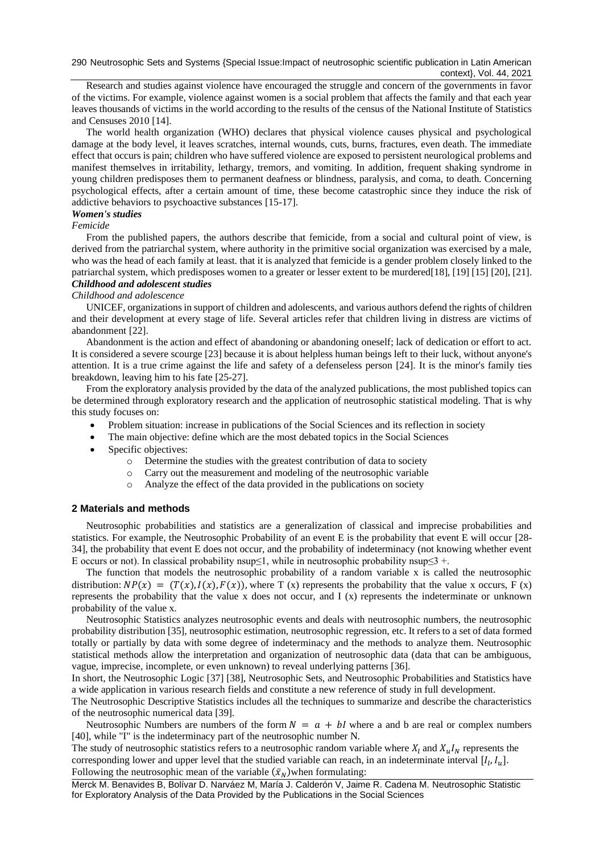290 Neutrosophic Sets and Systems {Special Issue:Impact of neutrosophic scientific publication in Latin American context}, Vol. 44, 2021

Research and studies against violence have encouraged the struggle and concern of the governments in favor of the victims. For example, violence against women is a social problem that affects the family and that each year leaves thousands of victims in the world according to the results of the census of the National Institute of Statistics and Censuses 2010 [\[14\]](#page-8-1).

The world health organization (WHO) declares that physical violence causes physical and psychological damage at the body level, it leaves scratches, internal wounds, cuts, burns, fractures, even death. The immediate effect that occurs is pain; children who have suffered violence are exposed to persistent neurological problems and manifest themselves in irritability, lethargy, tremors, and vomiting. In addition, frequent shaking syndrome in young children predisposes them to permanent deafness or blindness, paralysis, and coma, to death. Concerning psychological effects, after a certain amount of time, these become catastrophic since they induce the risk of addictive behaviors to psychoactive substances [\[15-17\]](#page-8-2).

# *Women's studies*

#### *Femicide*

From the published papers, the authors describe that femicide, from a social and cultural point of view, is derived from the patriarchal system, where authority in the primitive social organization was exercised by a male, who was the head of each family at least. that it is analyzed that femicide is a gender problem closely linked to the patriarchal system, which predisposes women to a greater or lesser extent to be murdered[\[18\]](#page-8-3), [\[19\]](#page-8-4) [\[15\]](#page-8-2) [\[20\]](#page-8-5), [\[21\]](#page-8-6). *Childhood and adolescent studies*

#### *Childhood and adolescence*

UNICEF, organizations in support of children and adolescents, and various authors defend the rights of children and their development at every stage of life. Several articles refer that children living in distress are victims of abandonment [\[22\]](#page-8-7).

Abandonment is the action and effect of abandoning or abandoning oneself; lack of dedication or effort to act. It is considered a severe scourge [\[23\]](#page-8-8) because it is about helpless human beings left to their luck, without anyone's attention. It is a true crime against the life and safety of a defenseless person [\[24\]](#page-8-9). It is the minor's family ties breakdown, leaving him to his fate [\[25-27\]](#page-8-10).

From the exploratory analysis provided by the data of the analyzed publications, the most published topics can be determined through exploratory research and the application of neutrosophic statistical modeling. That is why this study focuses on:

- Problem situation: increase in publications of the Social Sciences and its reflection in society
- The main objective: define which are the most debated topics in the Social Sciences
- Specific objectives:
	- o Determine the studies with the greatest contribution of data to society
	- o Carry out the measurement and modeling of the neutrosophic variable
	- o Analyze the effect of the data provided in the publications on society

#### **2 Materials and methods**

Neutrosophic probabilities and statistics are a generalization of classical and imprecise probabilities and statistics. For example, the Neutrosophic Probability of an event E is the probability that event E will occur [\[28-](#page-8-11) [34\]](#page-8-11), the probability that event E does not occur, and the probability of indeterminacy (not knowing whether event E occurs or not). In classical probability nsup≤1, while in neutrosophic probability nsup≤3 +.

The function that models the neutrosophic probability of a random variable x is called the neutrosophic distribution:  $NP(x) = (T(x), I(x), F(x))$ , where T (x) represents the probability that the value x occurs, F (x) represents the probability that the value x does not occur, and I (x) represents the indeterminate or unknown probability of the value x.

Neutrosophic Statistics analyzes neutrosophic events and deals with neutrosophic numbers, the neutrosophic probability distribution [\[35\]](#page-8-12), neutrosophic estimation, neutrosophic regression, etc. It refers to a set of data formed totally or partially by data with some degree of indeterminacy and the methods to analyze them. Neutrosophic statistical methods allow the interpretation and organization of neutrosophic data (data that can be ambiguous, vague, imprecise, incomplete, or even unknown) to reveal underlying patterns [\[36\]](#page-8-13).

In short, the Neutrosophic Logic [\[37\]](#page-8-14) [\[38\]](#page-8-15), Neutrosophic Sets, and Neutrosophic Probabilities and Statistics have a wide application in various research fields and constitute a new reference of study in full development.

The Neutrosophic Descriptive Statistics includes all the techniques to summarize and describe the characteristics of the neutrosophic numerical data [\[39\]](#page-9-0).

Neutrosophic Numbers are numbers of the form  $N = a + bl$  where a and b are real or complex numbers [\[40\]](#page-9-1), while "I" is the indeterminacy part of the neutrosophic number N.

The study of neutrosophic statistics refers to a neutrosophic random variable where  $X_l$  and  $X_u I_N$  represents the corresponding lower and upper level that the studied variable can reach, in an indeterminate interval  $[I_l, I_u]$ . Following the neutrosophic mean of the variable  $(\bar{x}_N)$  when formulating: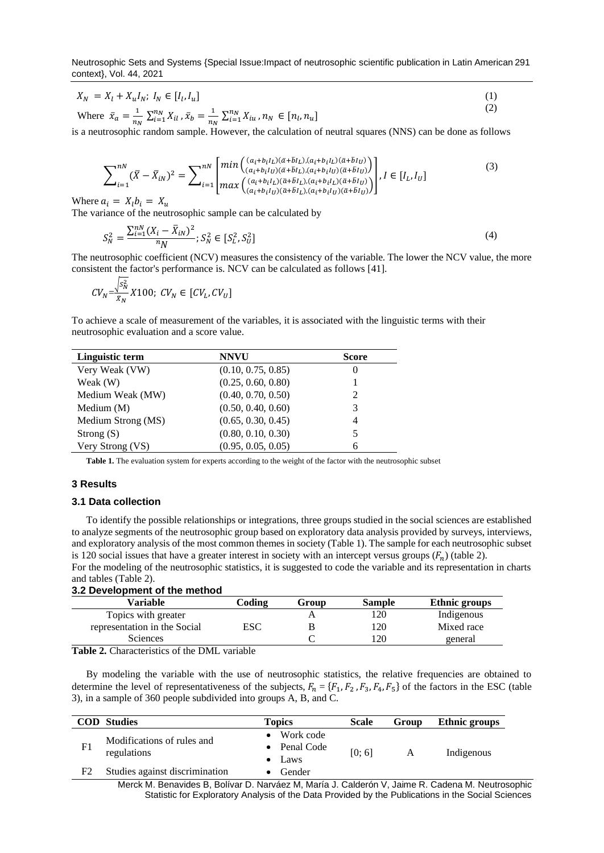Neutrosophic Sets and Systems {Special Issue:Impact of neutrosophic scientific publication in Latin American 291 context}, Vol. 44, 2021

$$
X_N = X_l + X_u I_N; I_N \in [I_l, I_u]
$$
\n
$$
(1)
$$

Where 
$$
\bar{x}_a = \frac{1}{n_N} \sum_{i=1}^{n_N} X_{il}, \bar{x}_b = \frac{1}{n_N} \sum_{i=1}^{n_N} X_{iu}, n_N \in [n_l, n_u]
$$
 (2)

is a neutrosophic random sample. However, the calculation of neutral squares (NNS) can be done as follows

$$
\sum_{i=1}^{nN} (\bar{X} - \bar{X}_{iN})^2 = \sum_{i=1}^{nN} \begin{bmatrix} \min\left( \frac{(a_i + b_i l_L)(\bar{a} + \bar{b}l_L), (a_i + b_i l_L)(\bar{a} + \bar{b}l_U)}{(a_i + b_i l_U)(\bar{a} + \bar{b}l_L), (a_i + b_i l_U)(\bar{a} + \bar{b}l_U)} \right) \\ \max\left( \frac{(a_i + b_i l_L)(\bar{a} + \bar{b}l_L), (a_i + b_i l_L)(\bar{a} + \bar{b}l_U)}{(a_i + b_i l_U)(\bar{a} + \bar{b}l_L), (a_i + b_i l_U)(\bar{a} + \bar{b}l_U)} \right) \end{bmatrix}, I \in [I_L, I_U]
$$
\n(3)

Where  $a_i = X_i b_i = X_u$ 

The variance of the neutrosophic sample can be calculated by

$$
S_N^2 = \frac{\sum_{i=1}^{nN} (X_i - \bar{X}_{iN})^2}{nN}; S_N^2 \in [S_L^2, S_U^2]
$$
\n<sup>(4)</sup>

The neutrosophic coefficient (NCV) measures the consistency of the variable. The lower the NCV value, the more consistent the factor's performance is. NCV can be calculated as follows [\[41\]](#page-9-2).

$$
CV_N = \frac{\sqrt{s_N^2}}{\bar{x}_N} X100; CV_N \in [CV_L, CV_U]
$$

To achieve a scale of measurement of the variables, it is associated with the linguistic terms with their neutrosophic evaluation and a score value.

| Linguistic term    | <b>NNVU</b>        | <b>Score</b> |
|--------------------|--------------------|--------------|
| Very Weak (VW)     | (0.10, 0.75, 0.85) | U            |
| Weak (W)           | (0.25, 0.60, 0.80) |              |
| Medium Weak (MW)   | (0.40, 0.70, 0.50) |              |
| Medium $(M)$       | (0.50, 0.40, 0.60) |              |
| Medium Strong (MS) | (0.65, 0.30, 0.45) | 4            |
| Strong $(S)$       | (0.80, 0.10, 0.30) |              |
| Very Strong (VS)   | (0.95, 0.05, 0.05) |              |

**Table 1.** The evaluation system for experts according to the weight of the factor with the neutrosophic subset

#### **3 Results**

#### **3.1 Data collection**

To identify the possible relationships or integrations, three groups studied in the social sciences are established to analyze segments of the neutrosophic group based on exploratory data analysis provided by surveys, interviews, and exploratory analysis of the most common themes in society (Table 1). The sample for each neutrosophic subset is 120 social issues that have a greater interest in society with an intercept versus groups  $(F_n)$  (table 2). For the modeling of the neutrosophic statistics, it is suggested to code the variable and its representation in charts

#### and tables (Table 2). **3.2 Development of the method**

| Variable                     | Coding | Group | <b>Sample</b> | Ethnic groups |
|------------------------------|--------|-------|---------------|---------------|
| Topics with greater          |        |       |               | Indigenous    |
| representation in the Social | ESC    |       | 20            | Mixed race    |
| <b>Sciences</b>              |        |       | 20            | general       |

**Table 2.** Characteristics of the DML variable

By modeling the variable with the use of neutrosophic statistics, the relative frequencies are obtained to determine the level of representativeness of the subjects,  $F_n = \{F_1, F_2, F_3, F_4, F_5\}$  of the factors in the ESC (table 3), in a sample of 360 people subdivided into groups A, B, and C.

|                                                             | <b>COD</b> Studies                                                                          | <b>Topics</b>    | <b>Scale</b> | Group      | <b>Ethnic groups</b> |
|-------------------------------------------------------------|---------------------------------------------------------------------------------------------|------------------|--------------|------------|----------------------|
| Modifications of rules and<br>F <sub>1</sub><br>regulations | Work code                                                                                   |                  |              |            |                      |
|                                                             | • Penal Code                                                                                | [0; 6]           | A            | Indigenous |                      |
|                                                             |                                                                                             | $\bullet$ Laws   |              |            |                      |
| F2                                                          | Studies against discrimination                                                              | $\bullet$ Gender |              |            |                      |
|                                                             | Model M. Donalder D. Delford D. Model of a Model I. October M. John C. D. October M. Modern |                  |              |            |                      |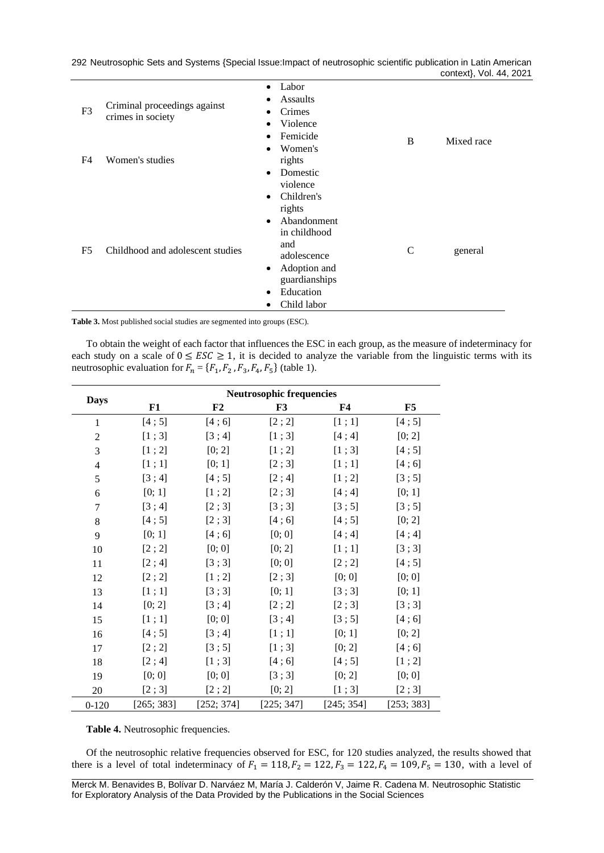|                |                                                   |                                                                                                                                                                                       | context}, Vol. 44, 2021 |
|----------------|---------------------------------------------------|---------------------------------------------------------------------------------------------------------------------------------------------------------------------------------------|-------------------------|
| F <sub>3</sub> | Criminal proceedings against<br>crimes in society | Labor<br>$\bullet$<br>Assaults<br>٠<br>Crimes<br>٠<br>Violence<br>٠<br>Femicide<br>$\bullet$<br>B                                                                                     | Mixed race              |
| F4             | Women's studies                                   | Women's<br>$\bullet$<br>rights<br>Domestic<br>$\bullet$<br>violence<br>Children's<br>$\bullet$                                                                                        |                         |
| F <sub>5</sub> | Childhood and adolescent studies                  | rights<br>Abandonment<br>$\bullet$<br>in childhood<br>and<br>$\mathcal{C}$<br>adolescence<br>Adoption and<br>$\bullet$<br>guardianships<br>Education<br>$\bullet$<br>Child labor<br>٠ | general                 |

292 Neutrosophic Sets and Systems {Special Issue:Impact of neutrosophic scientific publication in Latin American

**Table 3.** Most published social studies are segmented into groups (ESC).

To obtain the weight of each factor that influences the ESC in each group, as the measure of indeterminacy for each study on a scale of  $0 \leq ESC \geq 1$ , it is decided to analyze the variable from the linguistic terms with its neutrosophic evaluation for  $F_n = \{F_1, F_2, F_3, F_4, F_5\}$  (table 1).

|                |            | <b>Neutrosophic frequencies</b> |            |            |            |  |  |
|----------------|------------|---------------------------------|------------|------------|------------|--|--|
| <b>Days</b>    | F1         | F2                              | F3         | ${\bf F4}$ | F5         |  |  |
| $\mathbf{1}$   | [4;5]      | [4;6]                           | [2; 2]     | [1;1]      | [4;5]      |  |  |
| $\overline{2}$ | [1;3]      | [3; 4]                          | [1;3]      | [4; 4]     | [0; 2]     |  |  |
| 3              | [1; 2]     | [0; 2]                          | [1; 2]     | [1;3]      | [4;5]      |  |  |
| $\overline{4}$ | [1;1]      | [0; 1]                          | [2;3]      | [1;1]      | [4;6]      |  |  |
| 5              | [3; 4]     | [4;5]                           | [2; 4]     | [1; 2]     | [3;5]      |  |  |
| 6              | [0; 1]     | [1; 2]                          | [2;3]      | [4; 4]     | [0; 1]     |  |  |
| 7              | [3; 4]     | [2;3]                           | [3;3]      | [3;5]      | [3;5]      |  |  |
| 8              | [4;5]      | [2;3]                           | [4;6]      | [4;5]      | [0; 2]     |  |  |
| 9              | [0; 1]     | [4;6]                           | [0; 0]     | [4; 4]     | [4; 4]     |  |  |
| 10             | [2; 2]     | [0; 0]                          | [0; 2]     | [1;1]      | [3;3]      |  |  |
| 11             | [2; 4]     | [3;3]                           | [0; 0]     | [2; 2]     | [4;5]      |  |  |
| 12             | [2; 2]     | [1; 2]                          | [2;3]      | [0; 0]     | [0; 0]     |  |  |
| 13             | [1;1]      | [3;3]                           | [0; 1]     | [3;3]      | [0; 1]     |  |  |
| 14             | [0; 2]     | [3; 4]                          | [2; 2]     | [2;3]      | [3;3]      |  |  |
| 15             | [1;1]      | [0; 0]                          | [3; 4]     | [3;5]      | [4;6]      |  |  |
| 16             | [4;5]      | [3; 4]                          | [1;1]      | [0; 1]     | [0; 2]     |  |  |
| 17             | [2; 2]     | [3;5]                           | [1;3]      | [0; 2]     | [4;6]      |  |  |
| 18             | [2; 4]     | [1;3]                           | [4;6]      | [4;5]      | [1; 2]     |  |  |
| 19             | [0; 0]     | [0; 0]                          | [3;3]      | [0; 2]     | [0; 0]     |  |  |
| 20             | [2;3]      | [2; 2]                          | [0; 2]     | [1;3]      | [2;3]      |  |  |
| $0-120$        | [265; 383] | [252; 374]                      | [225; 347] | [245; 354] | [253; 383] |  |  |

**Table 4.** Neutrosophic frequencies.

Of the neutrosophic relative frequencies observed for ESC, for 120 studies analyzed, the results showed that there is a level of total indeterminacy of  $F_1 = 118$ ,  $F_2 = 122$ ,  $F_3 = 122$ ,  $F_4 = 109$ ,  $F_5 = 130$ , with a level of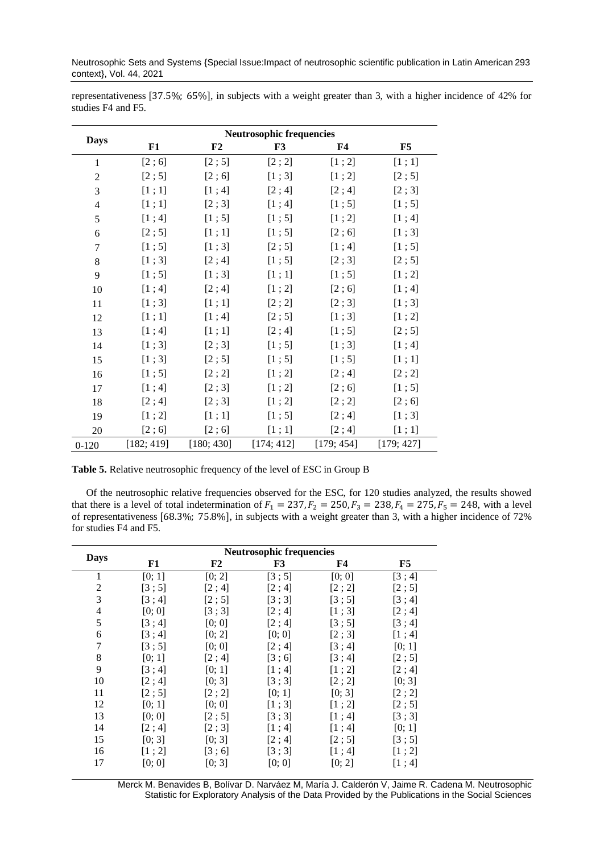Neutrosophic Sets and Systems {Special Issue:Impact of neutrosophic scientific publication in Latin American 293 context}, Vol. 44, 2021

| representativeness [37.5%; 65%], in subjects with a weight greater than 3, with a higher incidence of 42% for |  |  |  |
|---------------------------------------------------------------------------------------------------------------|--|--|--|
| studies F4 and F5.                                                                                            |  |  |  |

|                |            | <b>Neutrosophic frequencies</b> |            |            |            |  |  |
|----------------|------------|---------------------------------|------------|------------|------------|--|--|
| <b>Days</b>    | F1         | F2                              | F3         | F4         | F5         |  |  |
| 1              | [2;6]      | [2;5]                           | [2; 2]     | [1; 2]     | [1; 1]     |  |  |
| $\overline{c}$ | [2;5]      | [2;6]                           | [1;3]      | [1; 2]     | [2;5]      |  |  |
| 3              | [1;1]      | [1; 4]                          | [2; 4]     | [2; 4]     | [2;3]      |  |  |
| $\overline{4}$ | [1;1]      | [2;3]                           | [1; 4]     | [1;5]      | [1; 5]     |  |  |
| 5              | [1; 4]     | [1;5]                           | [1; 5]     | [1; 2]     | [1; 4]     |  |  |
| 6              | [2;5]      | [1;1]                           | [1; 5]     | [2;6]      | [1;3]      |  |  |
| $\overline{7}$ | [1; 5]     | [1;3]                           | [2;5]      | [1; 4]     | [1; 5]     |  |  |
| 8              | [1;3]      | [2; 4]                          | [1;5]      | [2;3]      | [2; 5]     |  |  |
| 9              | [1; 5]     | [1;3]                           | [1;1]      | [1;5]      | [1; 2]     |  |  |
| 10             | [1; 4]     | [2; 4]                          | [1; 2]     | [2;6]      | [1; 4]     |  |  |
| 11             | [1;3]      | [1;1]                           | [2; 2]     | [2;3]      | [1;3]      |  |  |
| 12             | [1;1]      | [1; 4]                          | [2;5]      | [1;3]      | [1; 2]     |  |  |
| 13             | [1; 4]     | [1;1]                           | [2; 4]     | [1;5]      | [2; 5]     |  |  |
| 14             | [1;3]      | [2;3]                           | [1; 5]     | [1;3]      | [1; 4]     |  |  |
| 15             | [1;3]      | [2;5]                           | [1; 5]     | [1; 5]     | [1;1]      |  |  |
| 16             | [1;5]      | [2; 2]                          | [1; 2]     | [2; 4]     | [2; 2]     |  |  |
| 17             | [1;4]      | [2;3]                           | [1; 2]     | [2;6]      | [1; 5]     |  |  |
| 18             | [2; 4]     | [2;3]                           | [1; 2]     | [2; 2]     | [2;6]      |  |  |
| 19             | [1; 2]     | [1;1]                           | [1; 5]     | [2; 4]     | [1;3]      |  |  |
| 20             | [2;6]      | [2;6]                           | [1;1]      | [2; 4]     | [1;1]      |  |  |
| $0 - 120$      | [182; 419] | [180; 430]                      | [174; 412] | [179; 454] | [179; 427] |  |  |

**Table 5.** Relative neutrosophic frequency of the level of ESC in Group B

Of the neutrosophic relative frequencies observed for the ESC, for 120 studies analyzed, the results showed that there is a level of total indetermination of  $F_1 = 237, F_2 = 250, F_3 = 238, F_4 = 275, F_5 = 248$ , with a level of representativeness [68.3%; 75.8%], in subjects with a weight greater than 3, with a higher incidence of 72% for studies F4 and F5.

|                |        | <b>Neutrosophic frequencies</b> |        |        |        |
|----------------|--------|---------------------------------|--------|--------|--------|
| <b>Days</b>    | F1     | F2                              | F3     | F4     | F5     |
| 1              | [0; 1] | [0; 2]                          | [3;5]  | [0; 0] | [3; 4] |
| 2              | [3;5]  | [2; 4]                          | [2; 4] | [2; 2] | [2;5]  |
| 3              | [3; 4] | [2; 5]                          | [3;3]  | [3;5]  | [3;4]  |
| $\overline{4}$ | [0; 0] | [3;3]                           | [2; 4] | [1;3]  | [2; 4] |
| 5              | [3; 4] | [0; 0]                          | [2; 4] | [3;5]  | [3; 4] |
| 6              | [3; 4] | [0; 2]                          | [0; 0] | [2;3]  | [1; 4] |
| 7              | [3;5]  | [0; 0]                          | [2; 4] | [3; 4] | [0; 1] |
| 8              | [0; 1] | [2; 4]                          | [3;6]  | [3; 4] | [2;5]  |
| 9              | [3; 4] | [0; 1]                          | [1; 4] | [1; 2] | [2; 4] |
| 10             | [2; 4] | [0; 3]                          | [3;3]  | [2; 2] | [0; 3] |
| 11             | [2;5]  | [2; 2]                          | [0; 1] | [0; 3] | [2; 2] |
| 12             | [0; 1] | [0; 0]                          | [1;3]  | [1:2]  | [2;5]  |
| 13             | [0; 0] | [2:5]                           | [3:3]  | [1; 4] | [3:3]  |
| 14             | [2; 4] | [2; 3]                          | [1; 4] | [1; 4] | [0; 1] |
| 15             | [0; 3] | [0; 3]                          | [2; 4] | [2; 5] | [3;5]  |
| 16             | [1; 2] | [3:6]                           | [3;3]  | [1;4]  | [1; 2] |
| 17             | [0; 0] | [0; 3]                          | [0; 0] | [0; 2] | [1;4]  |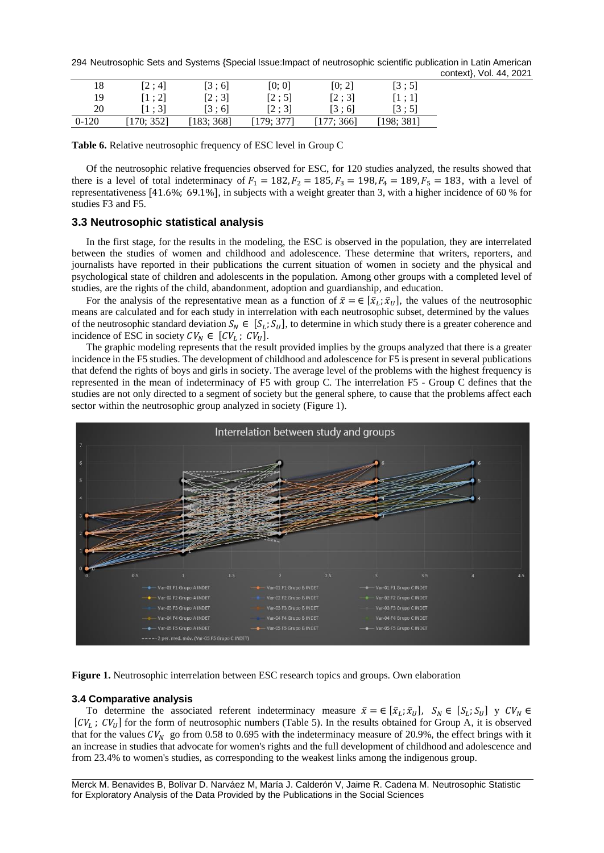294 Neutrosophic Sets and Systems {Special Issue:Impact of neutrosophic scientific publication in Latin American context}, Vol. 44, 2021

| 18      | [2:4]      | [3:6]     | [0; 0]     | [0; 2]    | [3:5]      |
|---------|------------|-----------|------------|-----------|------------|
| 19      | [1:2]      | [2:3]     | [2:5]      | [2:3]     | [1:1]      |
| 20      | [1:3]      | [3 : 6]   | [2:3]      | [3:6]     | [3:5]      |
| $0-120$ | [170; 352] | 183: 3681 | [179: 377] | [177:366] | [198: 381] |

**Table 6.** Relative neutrosophic frequency of ESC level in Group C

Of the neutrosophic relative frequencies observed for ESC, for 120 studies analyzed, the results showed that there is a level of total indeterminacy of  $F_1 = 182, F_2 = 185, F_3 = 198, F_4 = 189, F_5 = 183$ , with a level of representativeness [41.6%; 69.1%], in subjects with a weight greater than 3, with a higher incidence of 60 % for studies F3 and F5.

# **3.3 Neutrosophic statistical analysis**

In the first stage, for the results in the modeling, the ESC is observed in the population, they are interrelated between the studies of women and childhood and adolescence. These determine that writers, reporters, and journalists have reported in their publications the current situation of women in society and the physical and psychological state of children and adolescents in the population. Among other groups with a completed level of studies, are the rights of the child, abandonment, adoption and guardianship, and education.

For the analysis of the representative mean as a function of  $\bar{x} = \in [\bar{x}_L; \bar{x}_U]$ , the values of the neutrosophic means are calculated and for each study in interrelation with each neutrosophic subset, determined by the values of the neutrosophic standard deviation  $S_N \in [S_L; S_U]$ , to determine in which study there is a greater coherence and incidence of ESC in society  $CV_N \in [CV_L; CV_U].$ 

The graphic modeling represents that the result provided implies by the groups analyzed that there is a greater incidence in the F5 studies. The development of childhood and adolescence for F5 is present in several publications that defend the rights of boys and girls in society. The average level of the problems with the highest frequency is represented in the mean of indeterminacy of F5 with group C. The interrelation F5 - Group C defines that the studies are not only directed to a segment of society but the general sphere, to cause that the problems affect each sector within the neutrosophic group analyzed in society (Figure 1).



**Figure 1.** Neutrosophic interrelation between ESC research topics and groups. Own elaboration

# **3.4 Comparative analysis**

To determine the associated referent indeterminacy measure  $\bar{x} = \in [\bar{x}_L; \bar{x}_U]$ ,  $S_N \in [S_L; S_U]$  y  $CV_N \in$  $[CV_L; CV_U]$  for the form of neutrosophic numbers (Table 5). In the results obtained for Group A, it is observed that for the values  $CV_N$  go from 0.58 to 0.695 with the indeterminacy measure of 20.9%, the effect brings with it an increase in studies that advocate for women's rights and the full development of childhood and adolescence and from 23.4% to women's studies, as corresponding to the weakest links among the indigenous group.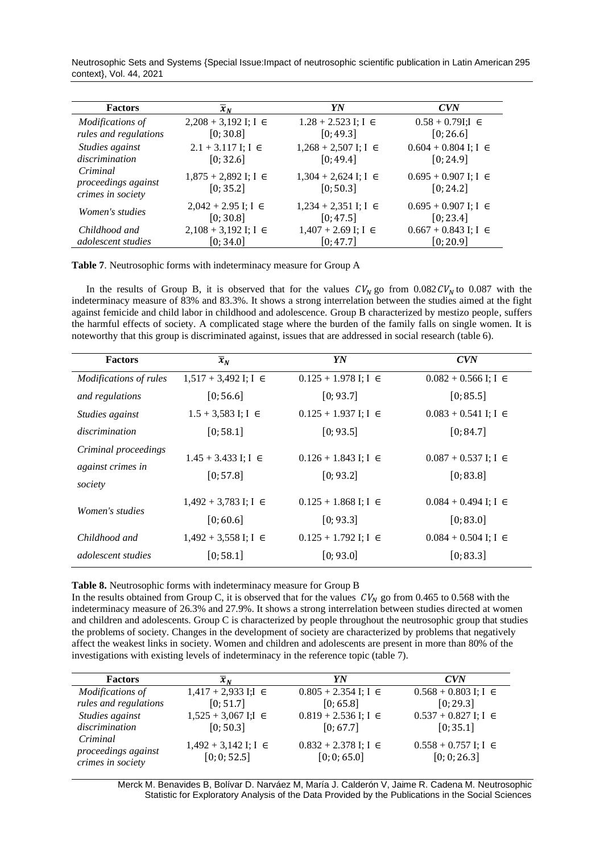Neutrosophic Sets and Systems {Special Issue:Impact of neutrosophic scientific publication in Latin American 295 context}, Vol. 44, 2021

| <b>Factors</b>                                       | $\overline{x}_N$                        | YN                                      | <b>CVN</b>                              |
|------------------------------------------------------|-----------------------------------------|-----------------------------------------|-----------------------------------------|
| <i>Modifications of</i><br>rules and regulations     | $2,208 + 3,192$ I; I $\in$<br>[0; 30.8] | $1.28 + 2.523$ I; I $\in$<br>[0; 49.3]  | $0.58 + 0.79$ I;I $\in$<br>[0; 26.6]    |
| Studies against<br>discrimination                    | $2.1 + 3.117$ I; I $\in$<br>[0; 32.6]   | $1,268 + 2,507$ I; I $\in$<br>[0; 49.4] | $0.604 + 0.804$ I; I $\in$<br>[0; 24.9] |
| Criminal<br>proceedings against<br>crimes in society | $1,875 + 2,892$ I; I $\in$<br>[0; 35.2] | $1,304 + 2,624$ I; I $\in$<br>[0; 50.3] | $0.695 + 0.907$ I; I $\in$<br>[0; 24.2] |
| <i>Women's studies</i>                               | $2,042 + 2.95$ I; I $\in$<br>[0; 30.8]  | $1,234 + 2,351$ I; I $\in$<br>[0; 47.5] | $0.695 + 0.907$ I; I $\in$<br>[0; 23.4] |
| Childhood and                                        | $2,108 + 3,192$ I; I $\in$              | $1,407 + 2.69$ I; I $\in$               | $0.667 + 0.843$ I; I $\in$              |
| <i>adolescent studies</i>                            | [0; 34.0]                               | [0; 47.7]                               | [0; 20.9]                               |

**Table 7**. Neutrosophic forms with indeterminacy measure for Group A

In the results of Group B, it is observed that for the values  $CV_N$  go from 0.082  $CV_N$  to 0.087 with the indeterminacy measure of 83% and 83.3%. It shows a strong interrelation between the studies aimed at the fight against femicide and child labor in childhood and adolescence. Group B characterized by mestizo people, suffers the harmful effects of society. A complicated stage where the burden of the family falls on single women. It is noteworthy that this group is discriminated against, issues that are addressed in social research (table 6).

| <b>Factors</b>                                       | $\overline{x}_N$                        | YN                                      | <b>CVN</b>                              |
|------------------------------------------------------|-----------------------------------------|-----------------------------------------|-----------------------------------------|
| Modifications of rules                               | $1,517 + 3,492$ I; I $\in$              | $0.125 + 1.978$ I; I $\in$              | $0.082 + 0.566$ I; I $\in$              |
| and regulations                                      | [0; 56.6]                               | [0; 93.7]                               | [0; 85.5]                               |
| Studies against                                      | $1.5 + 3,583$ I; I $\in$                | $0.125 + 1.937$ I; I $\in$              | $0.083 + 0.541$ I; I $\in$              |
| discrimination                                       | [0; 58.1]                               | [0; 93.5]                               | [0; 84.7]                               |
| Criminal proceedings<br>against crimes in<br>society | $1.45 + 3.433$ I; I $\in$<br>[0:57.8]   | $0.126 + 1.843$ I; I $\in$<br>[0; 93.2] | $0.087 + 0.537$ I; I $\in$<br>[0; 83.8] |
| <i>Women's studies</i>                               | $1,492 + 3,783$ I; I $\in$<br>[0; 60.6] | $0.125 + 1.868$ I; I $\in$<br>[0; 93.3] | $0.084 + 0.494$ I; I $\in$<br>[0; 83.0] |
| Childhood and                                        | $1,492 + 3,558$ I; I $\in$              | $0.125 + 1.792$ I; I $\in$              | $0.084 + 0.504$ I; I $\in$              |
| <i>adolescent studies</i>                            | [0; 58.1]                               | [0; 93.0]                               | [0; 83.3]                               |

**Table 8.** Neutrosophic forms with indeterminacy measure for Group B

In the results obtained from Group C, it is observed that for the values  $CV_N$  go from 0.465 to 0.568 with the indeterminacy measure of 26.3% and 27.9%. It shows a strong interrelation between studies directed at women and children and adolescents. Group C is characterized by people throughout the neutrosophic group that studies the problems of society. Changes in the development of society are characterized by problems that negatively affect the weakest links in society. Women and children and adolescents are present in more than 80% of the investigations with existing levels of indeterminacy in the reference topic (table 7).

| <b>Factors</b>                            | $x_{N}$                                    | YN                                         | <b>CVN</b>                                 |
|-------------------------------------------|--------------------------------------------|--------------------------------------------|--------------------------------------------|
| Modifications of<br>rules and regulations | $1,417 + 2,933$ I;I $\in$<br>[0; 51.7]     | $0.805 + 2.354$ I; I $\in$<br>[0; 65.8]    | $0.568 + 0.803$ I; I $\in$<br>[0; 29.3]    |
| Studies against                           | $1,525 + 3,067$ I;I $\in$                  | $0.819 + 2.536$ I; I $\in$                 | $0.537 + 0.827$ I; I $\in$                 |
| discrimination<br>Criminal                | [0; 50.3]                                  | [0; 67.7]                                  | [0; 35.1]                                  |
| proceedings against<br>crimes in society  | $1,492 + 3,142$ I; I $\in$<br>[0; 0; 52.5] | $0.832 + 2.378$ I; I $\in$<br>[0; 0; 65.0] | $0.558 + 0.757$ I; I $\in$<br>[0; 0; 26.3] |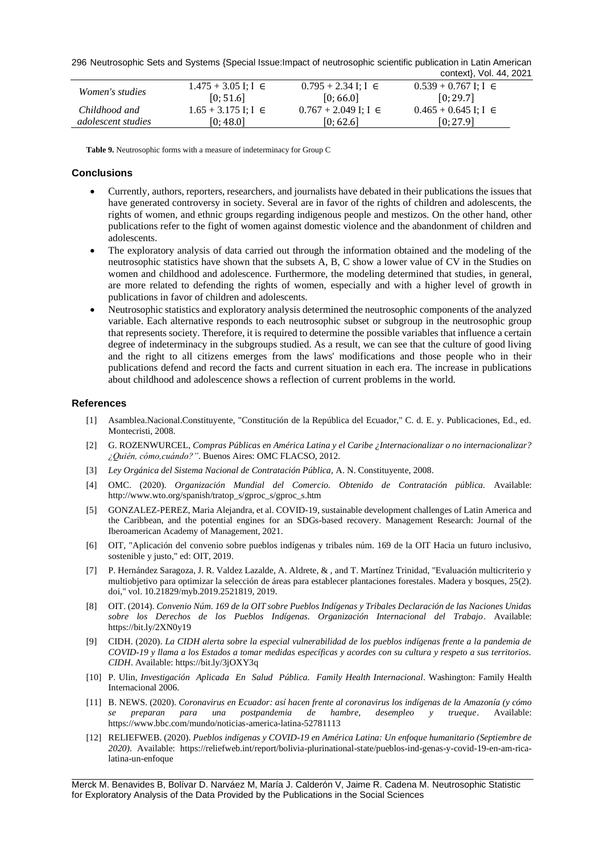296 Neutrosophic Sets and Systems {Special Issue:Impact of neutrosophic scientific publication in Latin American

|                        |                           |                            | context}, Vol. 44, 2021    |
|------------------------|---------------------------|----------------------------|----------------------------|
| <i>Women's studies</i> | $1.475 + 3.05$ I; I $\in$ | $0.795 + 2.34$ I; I $\in$  | $0.539 + 0.767$ I; I $\in$ |
|                        | [0; 51.6]                 | [0, 66.0]                  | [0; 29.7]                  |
| Childhood and          | $1.65 + 3.175$ I; I $\in$ | $0.767 + 2.049$ I; I $\in$ | $0.465 + 0.645$ I; I $\in$ |
| adolescent studies     | [0; 48.0]                 | [0; 62.6]                  | [0:27.9]                   |

**Table 9.** Neutrosophic forms with a measure of indeterminacy for Group C

## **Conclusions**

- Currently, authors, reporters, researchers, and journalists have debated in their publications the issues that have generated controversy in society. Several are in favor of the rights of children and adolescents, the rights of women, and ethnic groups regarding indigenous people and mestizos. On the other hand, other publications refer to the fight of women against domestic violence and the abandonment of children and adolescents.
- The exploratory analysis of data carried out through the information obtained and the modeling of the neutrosophic statistics have shown that the subsets A, B, C show a lower value of CV in the Studies on women and childhood and adolescence. Furthermore, the modeling determined that studies, in general, are more related to defending the rights of women, especially and with a higher level of growth in publications in favor of children and adolescents.
- Neutrosophic statistics and exploratory analysis determined the neutrosophic components of the analyzed variable. Each alternative responds to each neutrosophic subset or subgroup in the neutrosophic group that represents society. Therefore, it is required to determine the possible variables that influence a certain degree of indeterminacy in the subgroups studied. As a result, we can see that the culture of good living and the right to all citizens emerges from the laws' modifications and those people who in their publications defend and record the facts and current situation in each era. The increase in publications about childhood and adolescence shows a reflection of current problems in the world.

#### **References**

- <span id="page-7-0"></span>[1] Asamblea.Nacional.Constituyente, "Constitución de la República del Ecuador," C. d. E. y. Publicaciones, Ed., ed. Montecristi, 2008.
- <span id="page-7-1"></span>[2] G. ROZENWURCEL, *Compras Públicas en América Latina y el Caribe ¿Internacionalizar o no internacionalizar? ¿Quién, cómo,cuándo?"*. Buenos Aires: OMC FLACSO, 2012.
- <span id="page-7-2"></span>[3] *Ley Orgánica del Sistema Nacional de Contratación Pública,* A. N. Constituyente, 2008.
- <span id="page-7-3"></span>[4] OMC. (2020). *Organización Mundial del Comercio. Obtenido de Contratación pública.* Available: http://www.wto.org/spanish/tratop\_s/gproc\_s/gproc\_s.htm
- <span id="page-7-4"></span>[5] GONZALEZ-PEREZ, Maria Alejandra, et al. COVID-19, sustainable development challenges of Latin America and the Caribbean, and the potential engines for an SDGs-based recovery. Management Research: Journal of the Iberoamerican Academy of Management, 2021.
- <span id="page-7-5"></span>[6] OIT, "Aplicación del convenio sobre pueblos indígenas y tribales núm. 169 de la OIT Hacia un futuro inclusivo, sostenible y justo," ed: OIT, 2019.
- <span id="page-7-6"></span>[7] P. Hernández Saragoza, J. R. Valdez Lazalde, A. Aldrete, & , and T. Martínez Trinidad, "Evaluación multicriterio y multiobjetivo para optimizar la selección de áreas para establecer plantaciones forestales. Madera y bosques, 25(2). doi," vol. 10.21829/myb.2019.2521819, 2019.
- <span id="page-7-7"></span>[8] OIT. (2014). *Convenio Núm. 169 de la OIT sobre Pueblos Indígenas y Tribales Declaración de las Naciones Unidas sobre los Derechos de los Pueblos Indígenas. Organización Internacional del Trabajo*. Available: https://bit.ly/2XN0y19
- <span id="page-7-8"></span>[9] CIDH. (2020). *La CIDH alerta sobre la especial vulnerabilidad de los pueblos indígenas frente a la pandemia de COVID-19 y llama a los Estados a tomar medidas específicas y acordes con su cultura y respeto a sus territorios. CIDH*. Available: https://bit.ly/3jOXY3q
- <span id="page-7-9"></span>[10] P. Ulin, *Investigación Aplicada En Salud Pública. Family Health Internacional*. Washington: Family Health Internacional 2006.
- <span id="page-7-10"></span>[11] B. NEWS. (2020). *Coronavirus en Ecuador: así hacen frente al coronavirus los indígenas de la Amazonía (y cómo se preparan para una postpandemia de hambre, desempleo y trueque*. Available: https://www.bbc.com/mundo/noticias-america-latina-52781113
- <span id="page-7-11"></span>[12] RELIEFWEB. (2020). *Pueblos indígenas y COVID-19 en América Latina: Un enfoque humanitario (Septiembre de 2020)*. Available: https://reliefweb.int/report/bolivia-plurinational-state/pueblos-ind-genas-y-covid-19-en-am-ricalatina-un-enfoque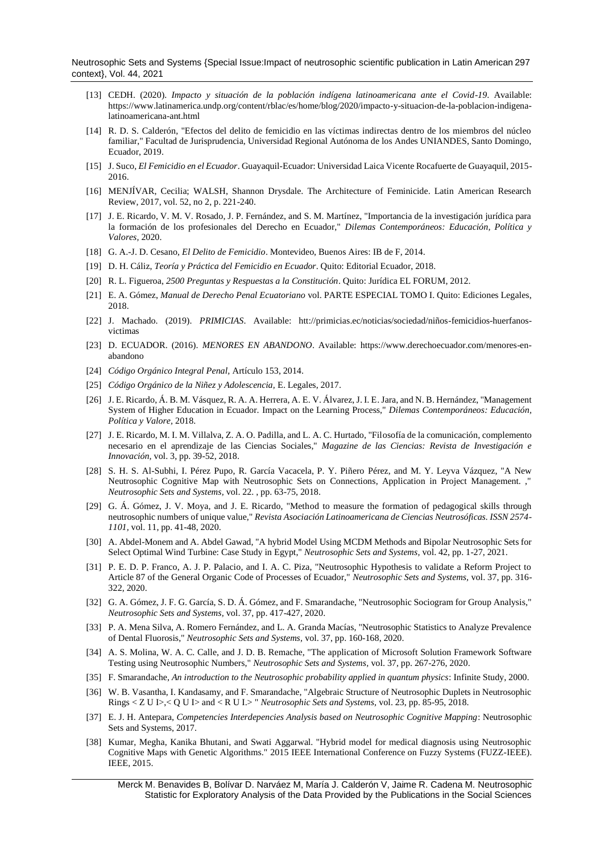Neutrosophic Sets and Systems {Special Issue:Impact of neutrosophic scientific publication in Latin American 297 context}, Vol. 44, 2021

- <span id="page-8-0"></span>[13] CEDH. (2020). *Impacto y situación de la población indígena latinoamericana ante el Covid-19*. Available: https://www.latinamerica.undp.org/content/rblac/es/home/blog/2020/impacto-y-situacion-de-la-poblacion-indigenalatinoamericana-ant.html
- <span id="page-8-1"></span>[14] R. D. S. Calderón, "Efectos del delito de femicidio en las víctimas indirectas dentro de los miembros del núcleo familiar," Facultad de Jurisprudencia, Universidad Regional Autónoma de los Andes UNIANDES, Santo Domingo, Ecuador, 2019.
- <span id="page-8-2"></span>[15] J. Suco, *El Femicidio en el Ecuador*. Guayaquil-Ecuador: Universidad Laica Vicente Rocafuerte de Guayaquil, 2015- 2016.
- [16] MENJÍVAR, Cecilia; WALSH, Shannon Drysdale. The Architecture of Feminicide. Latin American Research Review, 2017, vol. 52, no 2, p. 221-240.
- [17] J. E. Ricardo, V. M. V. Rosado, J. P. Fernández, and S. M. Martínez, "Importancia de la investigación jurídica para la formación de los profesionales del Derecho en Ecuador," *Dilemas Contemporáneos: Educación, Política y Valores,* 2020.
- <span id="page-8-3"></span>[18] G. A.-J. D. Cesano, *El Delito de Femicidio*. Montevideo, Buenos Aires: IB de F, 2014.
- <span id="page-8-4"></span>[19] D. H. Cáliz, *Teoría y Práctica del Femicidio en Ecuador*. Quito: Editorial Ecuador, 2018.
- <span id="page-8-5"></span>[20] R. L. Figueroa, *2500 Preguntas y Respuestas a la Constitución*. Quito: Jurídica EL FORUM, 2012.
- <span id="page-8-6"></span>[21] E. A. Gómez, *Manual de Derecho Penal Ecuatoriano* vol. PARTE ESPECIAL TOMO I. Quito: Ediciones Legales, 2018.
- <span id="page-8-7"></span>[22] J. Machado. (2019). *PRIMICIAS*. Available: htt://primicias.ec/noticias/sociedad/niños-femicidios-huerfanosvictimas
- <span id="page-8-8"></span>[23] D. ECUADOR. (2016). *MENORES EN ABANDONO*. Available: https://www.derechoecuador.com/menores-enabandono
- <span id="page-8-9"></span>[24] *Código Orgánico Integral Penal,* Artículo 153, 2014.
- <span id="page-8-10"></span>[25] *Código Orgánico de la Niñez y Adolescencia,* E. Legales, 2017.
- [26] J. E. Ricardo, Á. B. M. Vásquez, R. A. A. Herrera, A. E. V. Álvarez, J. I. E. Jara, and N. B. Hernández, "Management System of Higher Education in Ecuador. Impact on the Learning Process," *Dilemas Contemporáneos: Educación, Política y Valore,* 2018.
- [27] J. E. Ricardo, M. I. M. Villalva, Z. A. O. Padilla, and L. A. C. Hurtado, "Filosofía de la comunicación, complemento necesario en el aprendizaje de las Ciencias Sociales," *Magazine de las Ciencias: Revista de Investigación e Innovación,* vol. 3, pp. 39-52, 2018.
- <span id="page-8-11"></span>[28] S. H. S. Al-Subhi, I. Pérez Pupo, R. García Vacacela, P. Y. Piñero Pérez, and M. Y. Leyva Vázquez, "A New Neutrosophic Cognitive Map with Neutrosophic Sets on Connections, Application in Project Management. ," *Neutrosophic Sets and Systems,* vol. 22. , pp. 63-75, 2018.
- [29] G. Á. Gómez, J. V. Moya, and J. E. Ricardo, "Method to measure the formation of pedagogical skills through neutrosophic numbers of unique value," *Revista Asociación Latinoamericana de Ciencias Neutrosóficas. ISSN 2574- 1101,* vol. 11, pp. 41-48, 2020.
- [30] A. Abdel-Monem and A. Abdel Gawad, "A hybrid Model Using MCDM Methods and Bipolar Neutrosophic Sets for Select Optimal Wind Turbine: Case Study in Egypt," *Neutrosophic Sets and Systems,* vol. 42, pp. 1-27, 2021.
- [31] P. E. D. P. Franco, A. J. P. Palacio, and I. A. C. Piza, "Neutrosophic Hypothesis to validate a Reform Project to Article 87 of the General Organic Code of Processes of Ecuador," *Neutrosophic Sets and Systems,* vol. 37, pp. 316- 322, 2020.
- [32] G. A. Gómez, J. F. G. García, S. D. Á. Gómez, and F. Smarandache, "Neutrosophic Sociogram for Group Analysis," *Neutrosophic Sets and Systems,* vol. 37, pp. 417-427, 2020.
- [33] P. A. Mena Silva, A. Romero Fernández, and L. A. Granda Macías, "Neutrosophic Statistics to Analyze Prevalence of Dental Fluorosis," *Neutrosophic Sets and Systems,* vol. 37, pp. 160-168, 2020.
- [34] A. S. Molina, W. A. C. Calle, and J. D. B. Remache, "The application of Microsoft Solution Framework Software Testing using Neutrosophic Numbers," *Neutrosophic Sets and Systems,* vol. 37, pp. 267-276, 2020.
- <span id="page-8-12"></span>[35] F. Smarandache, *An introduction to the Neutrosophic probability applied in quantum physics*: Infinite Study, 2000.
- <span id="page-8-13"></span>[36] W. B. Vasantha, I. Kandasamy, and F. Smarandache, "Algebraic Structure of Neutrosophic Duplets in Neutrosophic Rings < Z U I>,< Q U I> and < R U I.> " *Neutrosophic Sets and Systems,* vol. 23, pp. 85-95, 2018.
- <span id="page-8-14"></span>[37] E. J. H. Antepara, *Competencies Interdepencies Analysis based on Neutrosophic Cognitive Mapping*: Neutrosophic Sets and Systems, 2017.
- <span id="page-8-15"></span>[38] Kumar, Megha, Kanika Bhutani, and Swati Aggarwal. "Hybrid model for medical diagnosis using Neutrosophic Cognitive Maps with Genetic Algorithms." 2015 IEEE International Conference on Fuzzy Systems (FUZZ-IEEE). IEEE, 2015.